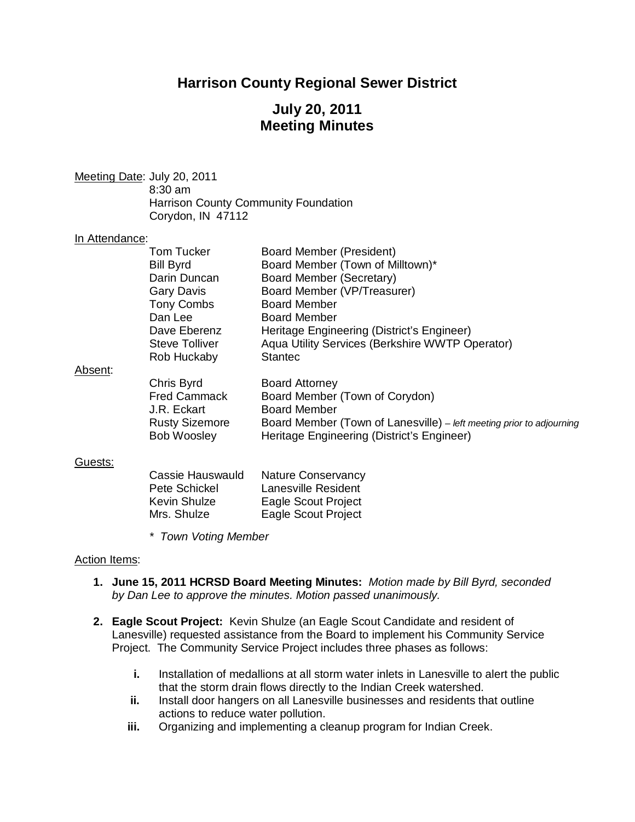# **Harrison County Regional Sewer District**

# **July 20, 2011 Meeting Minutes**

Meeting Date: July 20, 2011 8:30 am Harrison County Community Foundation Corydon, IN 47112

#### In Attendance:

| <b>Tom Tucker</b> | Board Member (President)                        |
|-------------------|-------------------------------------------------|
| <b>Bill Byrd</b>  | Board Member (Town of Milltown)*                |
| Darin Duncan      | Board Member (Secretary)                        |
| Gary Davis        | Board Member (VP/Treasurer)                     |
| <b>Tony Combs</b> | <b>Board Member</b>                             |
| Dan Lee           | <b>Board Member</b>                             |
| Dave Eberenz      | Heritage Engineering (District's Engineer)      |
| Steve Tolliver    | Aqua Utility Services (Berkshire WWTP Operator) |
| Rob Huckaby       | <b>Stantec</b>                                  |
|                   |                                                 |
| Chris Byrd        | <b>Board Attorney</b>                           |
|                   |                                                 |

#### Absent:

| Chris Byrd<br><b>Fred Cammack</b><br>J.R. Eckart | <b>Board Attorney</b><br>Board Member (Town of Corydon)<br><b>Board Member</b> |
|--------------------------------------------------|--------------------------------------------------------------------------------|
| <b>Rusty Sizemore</b>                            | Board Member (Town of Lanesville) – left meeting prior to adjourning           |
| <b>Bob Woosley</b>                               | Heritage Engineering (District's Engineer)                                     |

### Guests:

| Cassie Hauswauld    | <b>Nature Conservancy</b> |
|---------------------|---------------------------|
| Pete Schickel       | Lanesville Resident       |
| <b>Kevin Shulze</b> | Eagle Scout Project       |
| Mrs. Shulze         | Eagle Scout Project       |

*\* Town Voting Member*

### Action Items:

- **1. June 15, 2011 HCRSD Board Meeting Minutes:** *Motion made by Bill Byrd, seconded by Dan Lee to approve the minutes. Motion passed unanimously.*
- **2. Eagle Scout Project:**Kevin Shulze (an Eagle Scout Candidate and resident of Lanesville) requested assistance from the Board to implement his Community Service Project. The Community Service Project includes three phases as follows:
	- **i.** Installation of medallions at all storm water inlets in Lanesville to alert the public that the storm drain flows directly to the Indian Creek watershed.
	- **ii.** Install door hangers on all Lanesville businesses and residents that outline actions to reduce water pollution.
	- **iii.** Organizing and implementing a cleanup program for Indian Creek.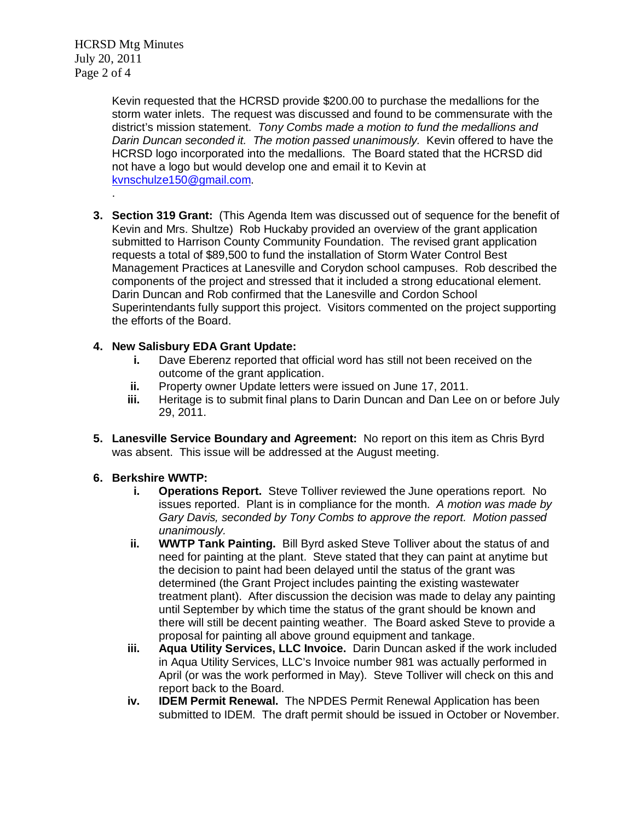HCRSD Mtg Minutes July 20, 2011 Page 2 of 4

.

Kevin requested that the HCRSD provide \$200.00 to purchase the medallions for the storm water inlets. The request was discussed and found to be commensurate with the district's mission statement. *Tony Combs made a motion to fund the medallions and Darin Duncan seconded it. The motion passed unanimously.* Kevin offered to have the HCRSD logo incorporated into the medallions. The Board stated that the HCRSD did not have a logo but would develop one and email it to Kevin at [kvnschulze150@gmail.com.](mailto:kvnschulze150@gmail.com)

**3. Section 319 Grant:** (This Agenda Item was discussed out of sequence for the benefit of Kevin and Mrs. Shultze) Rob Huckaby provided an overview of the grant application submitted to Harrison County Community Foundation. The revised grant application requests a total of \$89,500 to fund the installation of Storm Water Control Best Management Practices at Lanesville and Corydon school campuses. Rob described the components of the project and stressed that it included a strong educational element. Darin Duncan and Rob confirmed that the Lanesville and Cordon School Superintendants fully support this project. Visitors commented on the project supporting the efforts of the Board.

## **4. New Salisbury EDA Grant Update:**

- **i.** Dave Eberenz reported that official word has still not been received on the outcome of the grant application.
- **ii.** Property owner Update letters were issued on June 17, 2011.<br>**iii.** Heritage is to submit final plans to Darin Duncan and Dan Lee
- Heritage is to submit final plans to Darin Duncan and Dan Lee on or before July 29, 2011.
- **5. Lanesville Service Boundary and Agreement:** No report on this item as Chris Byrd was absent. This issue will be addressed at the August meeting.

## **6. Berkshire WWTP:**

- **i. Operations Report.** Steve Tolliver reviewed the June operations report. No issues reported. Plant is in compliance for the month. *A motion was made by Gary Davis, seconded by Tony Combs to approve the report. Motion passed unanimously.*
- **ii. WWTP Tank Painting.** Bill Byrd asked Steve Tolliver about the status of and need for painting at the plant. Steve stated that they can paint at anytime but the decision to paint had been delayed until the status of the grant was determined (the Grant Project includes painting the existing wastewater treatment plant). After discussion the decision was made to delay any painting until September by which time the status of the grant should be known and there will still be decent painting weather. The Board asked Steve to provide a proposal for painting all above ground equipment and tankage.
- **iii. Aqua Utility Services, LLC Invoice.** Darin Duncan asked if the work included in Aqua Utility Services, LLC's Invoice number 981 was actually performed in April (or was the work performed in May). Steve Tolliver will check on this and report back to the Board.
- **iv. IDEM Permit Renewal.** The NPDES Permit Renewal Application has been submitted to IDEM. The draft permit should be issued in October or November.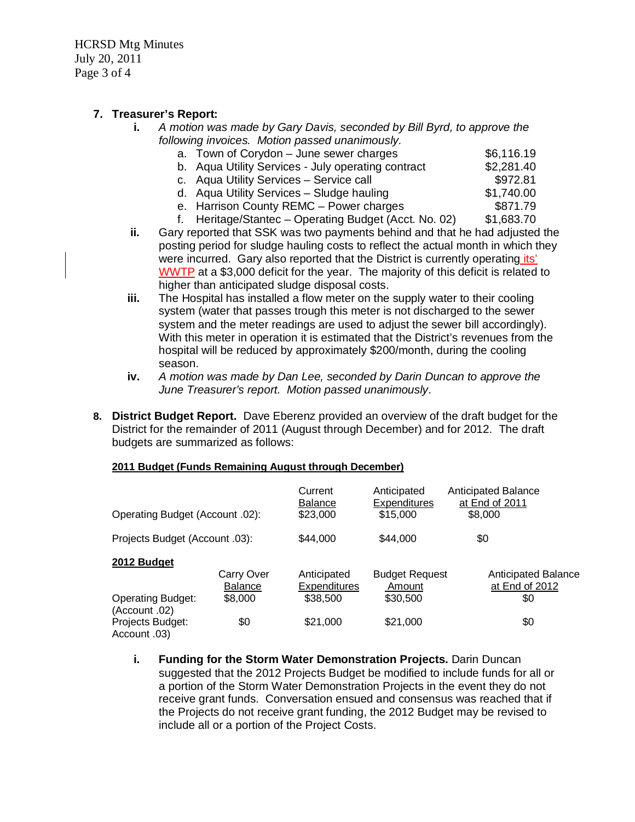HCRSD Mtg Minutes July 20, 2011 Page 3 of 4

## **7. Treasurer's Report:**

**i.** *A motion was made by Gary Davis, seconded by Bill Byrd, to approve the following invoices. Motion passed unanimously.*

| a. Town of Corydon - June sewer charges            | \$6,116.19 |
|----------------------------------------------------|------------|
| b. Aqua Utility Services - July operating contract | \$2,281.40 |
| c. Aqua Utility Services - Service call            | \$972.81   |
| d. Aqua Utility Services - Sludge hauling          | \$1,740.00 |
|                                                    |            |

- e. Harrison County REMC Power charges \$871.79
- f. Heritage/Stantec Operating Budget (Acct. No. 02) \$1,683.70
- **ii.** Gary reported that SSK was two payments behind and that he had adjusted the posting period for sludge hauling costs to reflect the actual month in which they were incurred. Gary also reported that the District is currently operating its' WWTP at a \$3,000 deficit for the year. The majority of this deficit is related to higher than anticipated sludge disposal costs.
- **iii.** The Hospital has installed a flow meter on the supply water to their cooling system (water that passes trough this meter is not discharged to the sewer system and the meter readings are used to adjust the sewer bill accordingly). With this meter in operation it is estimated that the District's revenues from the hospital will be reduced by approximately \$200/month, during the cooling season.
- **iv.** *A motion was made by Dan Lee, seconded by Darin Duncan to approve the June Treasurer's report. Motion passed unanimously*.
- **8. District Budget Report.** Dave Eberenz provided an overview of the draft budget for the District for the remainder of 2011 (August through December) and for 2012. The draft budgets are summarized as follows:

### **2011 Budget (Funds Remaining August through December)**

| Operating Budget (Account .02):           |                              | Current<br><b>Balance</b><br>\$23,000 | Anticipated<br><b>Expenditures</b><br>\$15,000 | <b>Anticipated Balance</b><br>at End of 2011<br>\$8,000 |
|-------------------------------------------|------------------------------|---------------------------------------|------------------------------------------------|---------------------------------------------------------|
| Projects Budget (Account .03):            |                              | \$44,000                              | \$44,000                                       | \$0                                                     |
| 2012 Budget                               | Carry Over<br><b>Balance</b> | Anticipated<br><b>Expenditures</b>    | <b>Budget Request</b><br>Amount                | <b>Anticipated Balance</b><br>at End of 2012            |
| <b>Operating Budget:</b><br>(Account .02) | \$8,000                      | \$38,500                              | \$30,500                                       | \$0                                                     |
| Projects Budget:<br>Account .03)          | \$0                          | \$21,000                              | \$21,000                                       | \$0                                                     |

**i. Funding for the Storm Water Demonstration Projects.** Darin Duncan suggested that the 2012 Projects Budget be modified to include funds for all or a portion of the Storm Water Demonstration Projects in the event they do not receive grant funds. Conversation ensued and consensus was reached that if the Projects do not receive grant funding, the 2012 Budget may be revised to include all or a portion of the Project Costs.